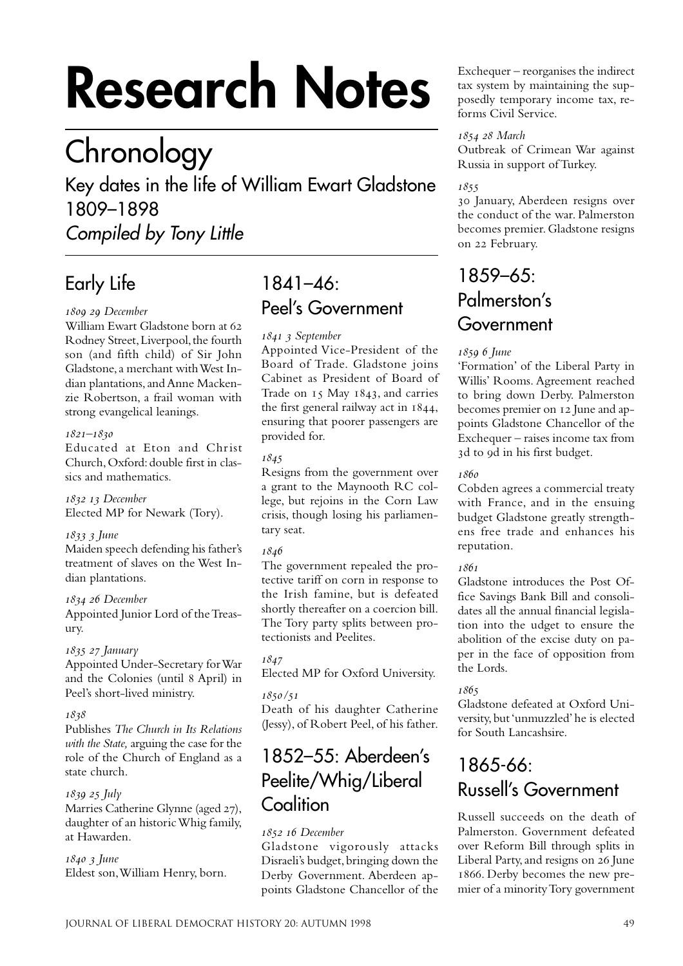# **Research Notes**

## **Chronology**

Key dates in the life of William Ewart Gladstone 1809–1898

Compiled by Tony Little

## Early Life

#### *December*

William Ewart Gladstone born at 62 Rodney Street, Liverpool, the fourth son (and fifth child) of Sir John Gladstone, a merchant with West Indian plantations, and Anne Mackenzie Robertson, a frail woman with strong evangelical leanings.

#### *–*

Educated at Eton and Christ Church, Oxford: double first in classics and mathematics.

  *December* Elected MP for Newark (Tory).

#### 1833 3 June

Maiden speech defending his father's treatment of slaves on the West Indian plantations.

#### 1834 26 December

Appointed Junior Lord of the Treasury.

#### *January*

Appointed Under-Secretary for War and the Colonies (until April) in Peel's short-lived ministry.

#### 1838

Publishes *The Church in Its Relations with the State,* arguing the case for the role of the Church of England as a state church.

#### *July*

Marries Catherine Glynne (aged 27), daughter of an historic Whig family, at Hawarden.

#### *June*

Eldest son, William Henry, born.

## 1841–46: Peel's Government

#### *September*

Appointed Vice-President of the Board of Trade. Gladstone joins Cabinet as President of Board of Trade on 15 May 1843, and carries the first general railway act in  $1844$ , ensuring that poorer passengers are provided for.

#### 1845

Resigns from the government over a grant to the Maynooth RC college, but rejoins in the Corn Law crisis, though losing his parliamentary seat.

#### 1846

The government repealed the protective tariff on corn in response to the Irish famine, but is defeated shortly thereafter on a coercion bill. The Tory party splits between protectionists and Peelites.

1847

Elected MP for Oxford University.

#### */*

Death of his daughter Catherine (Jessy), of Robert Peel, of his father.

## 1852–55: Aberdeen's Peelite/Whig/Liberal **Coalition**

#### 1852 16 December

Gladstone vigorously attacks Disraeli's budget, bringing down the Derby Government. Aberdeen appoints Gladstone Chancellor of the

Exchequer – reorganises the indirect tax system by maintaining the supposedly temporary income tax, reforms Civil Service.

#### *March*

Outbreak of Crimean War against Russia in support of Turkey.

#### 1855

 January, Aberdeen resigns over the conduct of the war. Palmerston becomes premier. Gladstone resigns on 22 February.

## 1859–65: Palmerston's Government

#### *June*

'Formation' of the Liberal Party in Willis' Rooms. Agreement reached to bring down Derby. Palmerston becomes premier on 12 June and appoints Gladstone Chancellor of the Exchequer – raises income tax from 3d to 9d in his first budget.

#### 1860

Cobden agrees a commercial treaty with France, and in the ensuing budget Gladstone greatly strengthens free trade and enhances his reputation.

#### 1861

Gladstone introduces the Post Office Savings Bank Bill and consolidates all the annual financial legislation into the udget to ensure the abolition of the excise duty on paper in the face of opposition from the Lords.

#### 1865

Gladstone defeated at Oxford University, but 'unmuzzled' he is elected for South Lancashsire.

## 1865-66: Russell's Government

Russell succeeds on the death of Palmerston. Government defeated over Reform Bill through splits in Liberal Party, and resigns on 26 June 1866. Derby becomes the new premier of a minority Tory government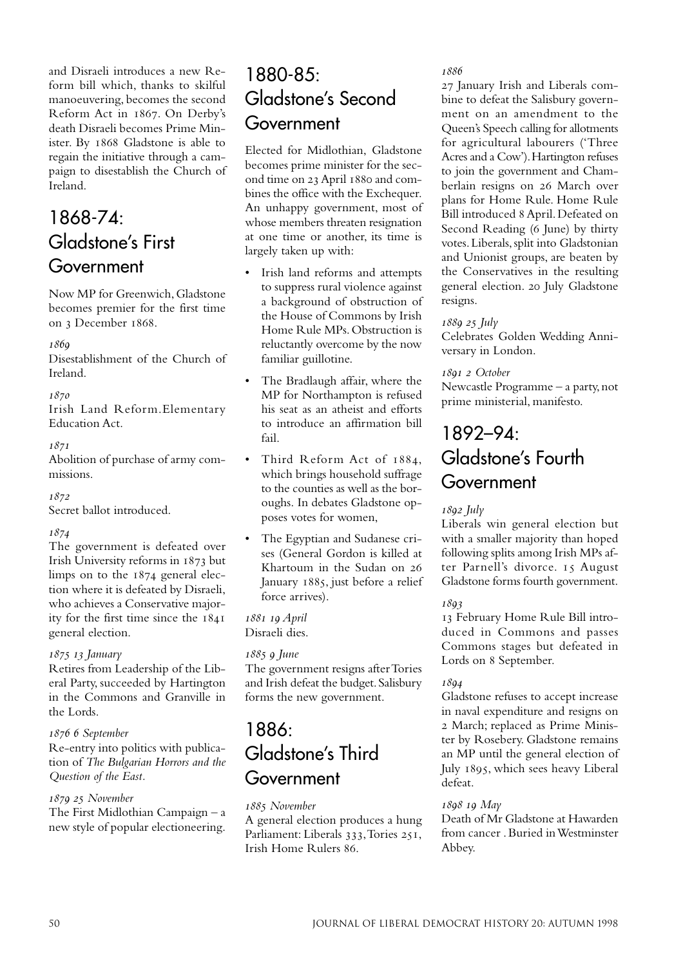and Disraeli introduces a new Reform bill which, thanks to skilful manoeuvering, becomes the second Reform Act in 1867. On Derby's death Disraeli becomes Prime Minister. By 1868 Gladstone is able to regain the initiative through a campaign to disestablish the Church of Ireland.

## 1868-74: Gladstone's First Government

Now MP for Greenwich, Gladstone becomes premier for the first time on 3 December 1868.

#### $1860$

Disestablishment of the Church of Ireland.

#### 1870

Irish Land Reform.Elementary Education Act.

#### $1871$

Abolition of purchase of army commissions.

1872

Secret ballot introduced.

#### 1874

The government is defeated over Irish University reforms in 1873 but limps on to the  $1874$  general election where it is defeated by Disraeli, who achieves a Conservative majority for the first time since the general election.

#### *January*

Retires from Leadership of the Liberal Party, succeeded by Hartington in the Commons and Granville in the Lords.

#### 1876 6 September

Re-entry into politics with publication of *The Bulgarian Horrors and the Question of the East.*

#### *November*

The First Midlothian Campaign – a new style of popular electioneering.

## 1880-85: Gladstone's Second **Government**

Elected for Midlothian, Gladstone becomes prime minister for the second time on 23 April 1880 and combines the office with the Exchequer. An unhappy government, most of whose members threaten resignation at one time or another, its time is largely taken up with:

- Irish land reforms and attempts to suppress rural violence against a background of obstruction of the House of Commons by Irish Home Rule MPs. Obstruction is reluctantly overcome by the now familiar guillotine.
- The Bradlaugh affair, where the MP for Northampton is refused his seat as an atheist and efforts to introduce an affirmation bill fail.
- Third Reform Act of 1884, which brings household suffrage to the counties as well as the boroughs. In debates Gladstone opposes votes for women,
- The Egyptian and Sudanese crises (General Gordon is killed at Khartoum in the Sudan on January 1885, just before a relief force arrives).

 *April* Disraeli dies.

#### *June*

The government resigns after Tories and Irish defeat the budget. Salisbury forms the new government.

## 1886: Gladstone's Third Government

#### *November*

A general election produces a hung Parliament: Liberals 333, Tories 251, Irish Home Rulers 86.

1886

27 January Irish and Liberals combine to defeat the Salisbury government on an amendment to the Queen's Speech calling for allotments for agricultural labourers ('Three Acres and a Cow'). Hartington refuses to join the government and Chamberlain resigns on 26 March over plans for Home Rule. Home Rule Bill introduced April. Defeated on Second Reading (6 June) by thirty votes. Liberals, split into Gladstonian and Unionist groups, are beaten by the Conservatives in the resulting general election. 20 July Gladstone resigns.

#### 1889 25 *July*

Celebrates Golden Wedding Anniversary in London.

#### *October*

Newcastle Programme – a party, not prime ministerial, manifesto.

## 1892–94: Gladstone's Fourth Government

#### *July*

Liberals win general election but with a smaller majority than hoped following splits among Irish MPs after Parnell's divorce. 15 August Gladstone forms fourth government.

#### $1803$

 February Home Rule Bill introduced in Commons and passes Commons stages but defeated in Lords on 8 September.

#### 1894

Gladstone refuses to accept increase in naval expenditure and resigns on March; replaced as Prime Minister by Rosebery. Gladstone remains an MP until the general election of July 1895, which sees heavy Liberal defeat.

#### *May*

Death of Mr Gladstone at Hawarden from cancer . Buried in Westminster Abbey.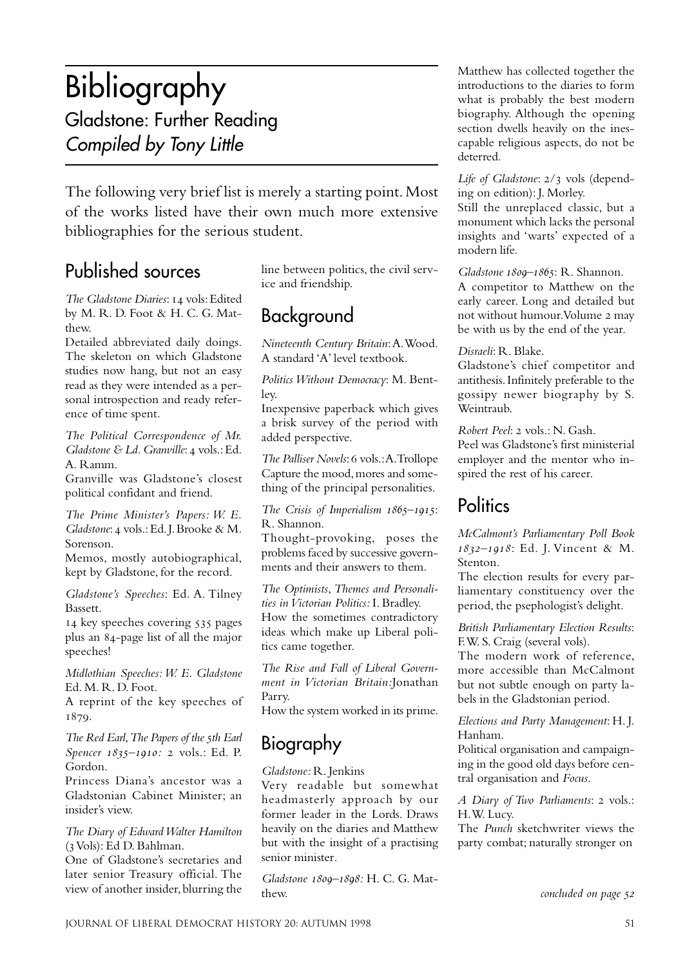## Bibliography Gladstone: Further Reading Compiled by Tony Little

The following very brief list is merely a starting point. Most of the works listed have their own much more extensive bibliographies for the serious student.

## Published sources

*The Gladstone Diaries*: 14 vols: Edited by M. R. D. Foot & H. C. G. Matthew.

Detailed abbreviated daily doings. The skeleton on which Gladstone studies now hang, but not an easy read as they were intended as a personal introspection and ready reference of time spent.

*The Political Correspondence of Mr. Gladstone & Ld. Granville: 4 vols.: Ed.* A. Ramm.

Granville was Gladstone's closest political confidant and friend.

*The Prime Minister's Papers: W. E. Gladstone*: 4 vols.: Ed. J. Brooke & M. Sorenson.

Memos, mostly autobiographical, kept by Gladstone, for the record.

*Gladstone's Speeches*: Ed. A. Tilney Bassett.

14 key speeches covering 535 pages plus an 84-page list of all the major speeches!

*Midlothian Speeches: W. E. Gladstone* Ed. M. R. D. Foot.

A reprint of the key speeches of 1879.

*The Red Earl*, *The Papers of the th Earl Spencer 1835-1910: 2 vols.: Ed. P.* Gordon.

Princess Diana's ancestor was a Gladstonian Cabinet Minister; an insider's view.

#### *The Diary of Edward Walter Hamilton*  $(3 \text{ Vols})$ : Ed D. Bahlman.

One of Gladstone's secretaries and later senior Treasury official. The view of another insider, blurring the line between politics, the civil service and friendship.

## Background

*Nineteenth Century Britain*: A. Wood. A standard 'A' level textbook.

*Politics Without Democracy*: M. Bentley.

Inexpensive paperback which gives a brisk survey of the period with added perspective.

*The Palliser Novels*: 6 vols.: A. Trollope Capture the mood, mores and something of the principal personalities.

*The Crisis of Imperialism 1865–1915:* R. Shannon.

Thought-provoking, poses the problems faced by successive governments and their answers to them.

*The Optimists*, *Themes and Personalities in Victorian Politics:* I. Bradley. How the sometimes contradictory ideas which make up Liberal politics came together.

*The Rise and Fall of Liberal Government in Victorian Britain:*Jonathan Parry.

How the system worked in its prime.

## Biography

#### *Gladstone:* R. Jenkins

Very readable but somewhat headmasterly approach by our former leader in the Lords. Draws heavily on the diaries and Matthew but with the insight of a practising senior minister*.*

*Gladstone –:* H. C. G. Matthew.

Matthew has collected together the introductions to the diaries to form what is probably the best modern biography. Although the opening section dwells heavily on the inescapable religious aspects, do not be deterred.

*Life of Gladstone*:  $2/3$  vols (depending on edition): J. Morley.

Still the unreplaced classic, but a monument which lacks the personal insights and 'warts' expected of a modern life.

*Gladstone 1800-1865*: R. Shannon.

A competitor to Matthew on the early career. Long and detailed but not without humour. Volume 2 may be with us by the end of the year.

#### *Disraeli*: R. Blake.

Gladstone's chief competitor and antithesis. Infinitely preferable to the gossipy newer biography by S. Weintraub.

*Robert Peel: 2 vols.: N. Gash.* 

Peel was Gladstone's first ministerial employer and the mentor who inspired the rest of his career.

### **Politics**

*McCalmont's Parliamentary Poll Book –*: Ed. J. Vincent & M. Stenton.

The election results for every parliamentary constituency over the period, the psephologist's delight.

*British Parliamentary Election Results*: F.W. S. Craig (several vols).

The modern work of reference, more accessible than McCalmont but not subtle enough on party labels in the Gladstonian period.

*Elections and Party Management*: H. J. Hanham.

Political organisation and campaigning in the good old days before central organisation and *Focus*.

*A Diary of Two Parliaments: 2 vols.:* H. W. Lucy.

The *Punch* sketchwriter views the party combat; naturally stronger on